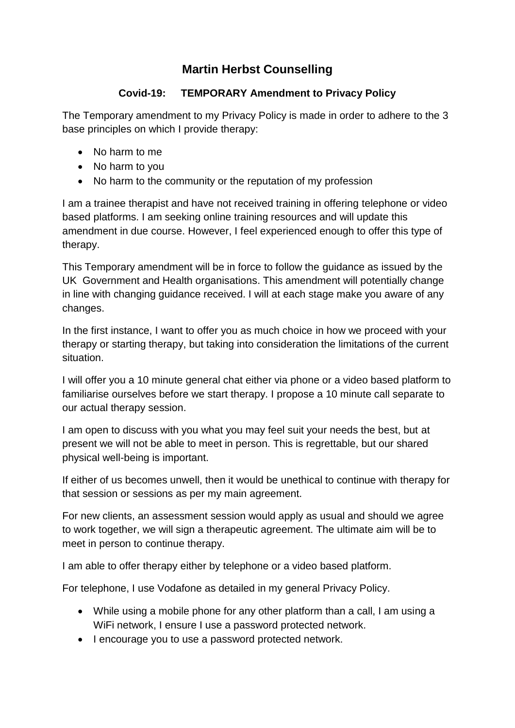## **Martin Herbst Counselling**

## **Covid-19: TEMPORARY Amendment to Privacy Policy**

The Temporary amendment to my Privacy Policy is made in order to adhere to the 3 base principles on which I provide therapy:

- No harm to me
- No harm to you
- No harm to the community or the reputation of my profession

I am a trainee therapist and have not received training in offering telephone or video based platforms. I am seeking online training resources and will update this amendment in due course. However, I feel experienced enough to offer this type of therapy.

This Temporary amendment will be in force to follow the guidance as issued by the UK Government and Health organisations. This amendment will potentially change in line with changing guidance received. I will at each stage make you aware of any changes.

In the first instance, I want to offer you as much choice in how we proceed with your therapy or starting therapy, but taking into consideration the limitations of the current situation.

I will offer you a 10 minute general chat either via phone or a video based platform to familiarise ourselves before we start therapy. I propose a 10 minute call separate to our actual therapy session.

I am open to discuss with you what you may feel suit your needs the best, but at present we will not be able to meet in person. This is regrettable, but our shared physical well-being is important.

If either of us becomes unwell, then it would be unethical to continue with therapy for that session or sessions as per my main agreement.

For new clients, an assessment session would apply as usual and should we agree to work together, we will sign a therapeutic agreement. The ultimate aim will be to meet in person to continue therapy.

I am able to offer therapy either by telephone or a video based platform.

For telephone, I use Vodafone as detailed in my general Privacy Policy.

- While using a mobile phone for any other platform than a call, I am using a WiFi network, I ensure I use a password protected network.
- I encourage you to use a password protected network.